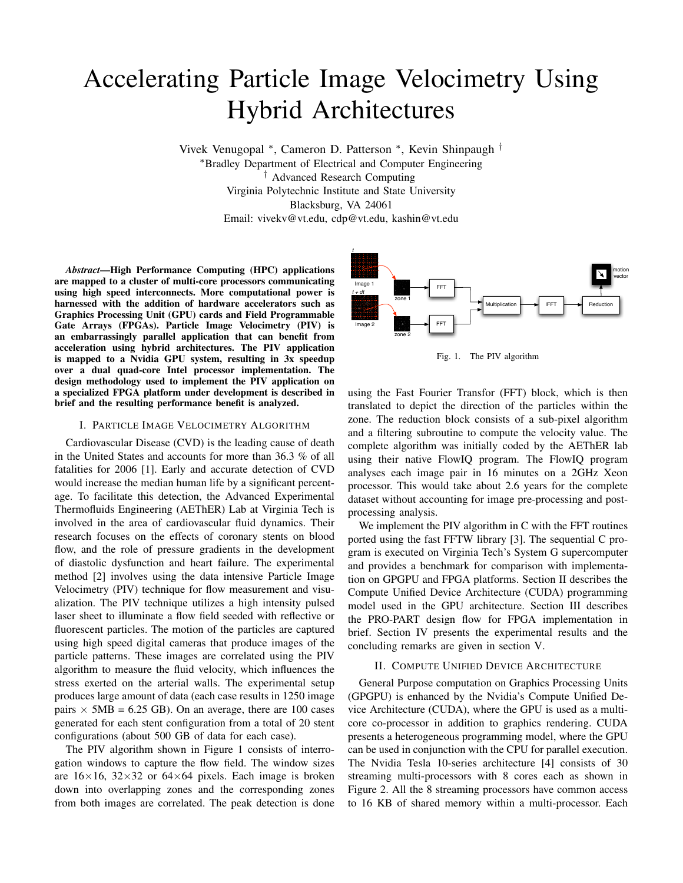# Accelerating Particle Image Velocimetry Using Hybrid Architectures

Vivek Venugopal <sup>∗</sup> , Cameron D. Patterson <sup>∗</sup> , Kevin Shinpaugh † <sup>∗</sup>Bradley Department of Electrical and Computer Engineering † Advanced Research Computing Virginia Polytechnic Institute and State University Blacksburg, VA 24061 Email: vivekv@vt.edu, cdp@vt.edu, kashin@vt.edu

*Abstract*—High Performance Computing (HPC) applications are mapped to a cluster of multi-core processors communicating using high speed interconnects. More computational power is harnessed with the addition of hardware accelerators such as Graphics Processing Unit (GPU) cards and Field Programmable Gate Arrays (FPGAs). Particle Image Velocimetry (PIV) is an embarrassingly parallel application that can benefit from acceleration using hybrid architectures. The PIV application is mapped to a Nvidia GPU system, resulting in 3x speedup over a dual quad-core Intel processor implementation. The design methodology used to implement the PIV application on a specialized FPGA platform under development is described in brief and the resulting performance benefit is analyzed.

#### I. PARTICLE IMAGE VELOCIMETRY ALGORITHM

Cardiovascular Disease (CVD) is the leading cause of death in the United States and accounts for more than 36.3 % of all fatalities for 2006 [1]. Early and accurate detection of CVD would increase the median human life by a significant percentage. To facilitate this detection, the Advanced Experimental Thermofluids Engineering (AEThER) Lab at Virginia Tech is involved in the area of cardiovascular fluid dynamics. Their research focuses on the effects of coronary stents on blood flow, and the role of pressure gradients in the development of diastolic dysfunction and heart failure. The experimental method [2] involves using the data intensive Particle Image Velocimetry (PIV) technique for flow measurement and visualization. The PIV technique utilizes a high intensity pulsed laser sheet to illuminate a flow field seeded with reflective or fluorescent particles. The motion of the particles are captured using high speed digital cameras that produce images of the particle patterns. These images are correlated using the PIV algorithm to measure the fluid velocity, which influences the stress exerted on the arterial walls. The experimental setup produces large amount of data (each case results in 1250 image pairs  $\times$  5MB = 6.25 GB). On an average, there are 100 cases generated for each stent configuration from a total of 20 stent configurations (about 500 GB of data for each case).

The PIV algorithm shown in Figure 1 consists of interrogation windows to capture the flow field. The window sizes are  $16\times16$ ,  $32\times32$  or  $64\times64$  pixels. Each image is broken down into overlapping zones and the corresponding zones from both images are correlated. The peak detection is done



Fig. 1. The PIV algorithm

using the Fast Fourier Transfor (FFT) block, which is then translated to depict the direction of the particles within the zone. The reduction block consists of a sub-pixel algorithm and a filtering subroutine to compute the velocity value. The complete algorithm was initially coded by the AEThER lab using their native FlowIQ program. The FlowIQ program analyses each image pair in 16 minutes on a 2GHz Xeon processor. This would take about 2.6 years for the complete dataset without accounting for image pre-processing and postprocessing analysis.

We implement the PIV algorithm in C with the FFT routines ported using the fast FFTW library [3]. The sequential C program is executed on Virginia Tech's System G supercomputer and provides a benchmark for comparison with implementation on GPGPU and FPGA platforms. Section II describes the Compute Unified Device Architecture (CUDA) programming model used in the GPU architecture. Section III describes the PRO-PART design flow for FPGA implementation in brief. Section IV presents the experimental results and the concluding remarks are given in section V.

### II. COMPUTE UNIFIED DEVICE ARCHITECTURE

General Purpose computation on Graphics Processing Units (GPGPU) is enhanced by the Nvidia's Compute Unified Device Architecture (CUDA), where the GPU is used as a multicore co-processor in addition to graphics rendering. CUDA presents a heterogeneous programming model, where the GPU can be used in conjunction with the CPU for parallel execution. The Nvidia Tesla 10-series architecture [4] consists of 30 streaming multi-processors with 8 cores each as shown in Figure 2. All the 8 streaming processors have common access to 16 KB of shared memory within a multi-processor. Each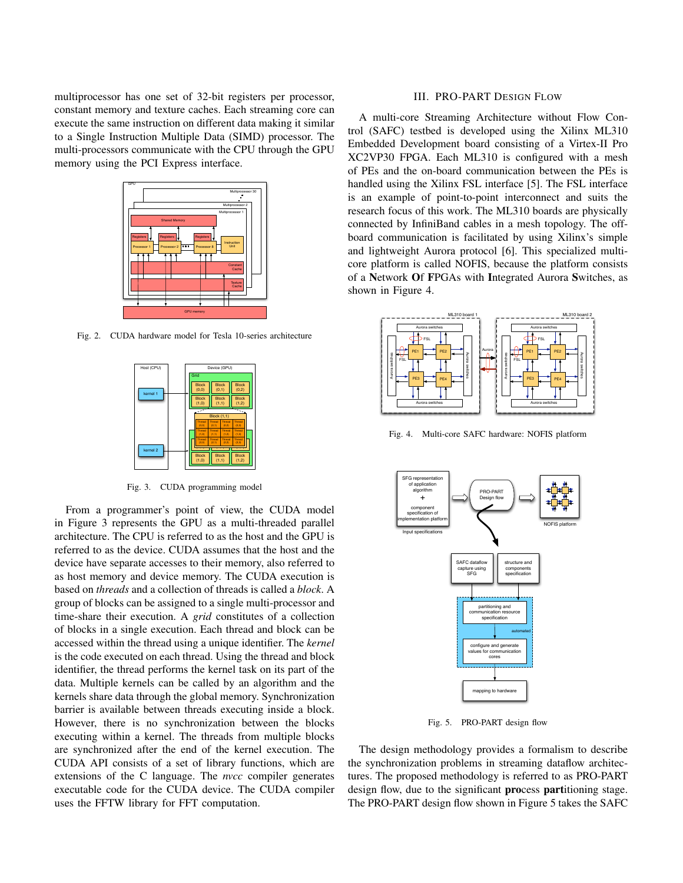multiprocessor has one set of 32-bit registers per processor, constant memory and texture caches. Each streaming core can execute the same instruction on different data making it similar to a Single Instruction Multiple Data (SIMD) processor. The multi-processors communicate with the CPU through the GPU memory using the PCI Express interface.



Fig. 2. CUDA hardware model for Tesla 10-series architecture



Fig. 3. CUDA programming model

From a programmer's point of view, the CUDA model in Figure 3 represents the GPU as a multi-threaded parallel architecture. The CPU is referred to as the host and the GPU is referred to as the device. CUDA assumes that the host and the device have separate accesses to their memory, also referred to as host memory and device memory. The CUDA execution is based on *threads* and a collection of threads is called a *block*. A group of blocks can be assigned to a single multi-processor and time-share their execution. A *grid* constitutes of a collection of blocks in a single execution. Each thread and block can be accessed within the thread using a unique identifier. The *kernel* is the code executed on each thread. Using the thread and block identifier, the thread performs the kernel task on its part of the data. Multiple kernels can be called by an algorithm and the kernels share data through the global memory. Synchronization barrier is available between threads executing inside a block. However, there is no synchronization between the blocks executing within a kernel. The threads from multiple blocks are synchronized after the end of the kernel execution. The CUDA API consists of a set of library functions, which are extensions of the C language. The *nvcc* compiler generates executable code for the CUDA device. The CUDA compiler uses the FFTW library for FFT computation.

## III. PRO-PART DESIGN FLOW

A multi-core Streaming Architecture without Flow Control (SAFC) testbed is developed using the Xilinx ML310 Embedded Development board consisting of a Virtex-II Pro XC2VP30 FPGA. Each ML310 is configured with a mesh of PEs and the on-board communication between the PEs is handled using the Xilinx FSL interface [5]. The FSL interface is an example of point-to-point interconnect and suits the research focus of this work. The ML310 boards are physically connected by InfiniBand cables in a mesh topology. The offboard communication is facilitated by using Xilinx's simple and lightweight Aurora protocol [6]. This specialized multicore platform is called NOFIS, because the platform consists of a Network Of FPGAs with Integrated Aurora Switches, as shown in Figure 4.



Fig. 4. Multi-core SAFC hardware: NOFIS platform



Fig. 5. PRO-PART design flow

The design methodology provides a formalism to describe the synchronization problems in streaming dataflow architectures. The proposed methodology is referred to as PRO-PART design flow, due to the significant process partitioning stage. The PRO-PART design flow shown in Figure 5 takes the SAFC